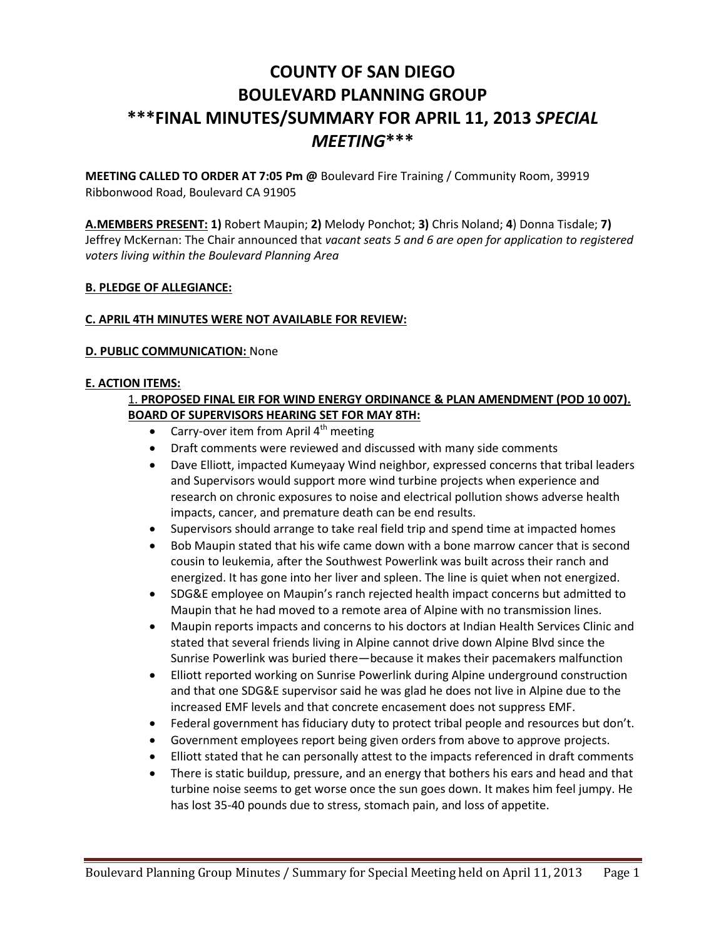# **COUNTY OF SAN DIEGO BOULEVARD PLANNING GROUP \*\*\*FINAL MINUTES/SUMMARY FOR APRIL 11, 2013** *SPECIAL MEETING***\*\*\***

**MEETING CALLED TO ORDER AT 7:05 Pm @** Boulevard Fire Training / Community Room, 39919 Ribbonwood Road, Boulevard CA 91905

**A.MEMBERS PRESENT: 1)** Robert Maupin; **2)** Melody Ponchot; **3)** Chris Noland; **4**) Donna Tisdale; **7)**  Jeffrey McKernan: The Chair announced that *vacant seats 5 and 6 are open for application to registered voters living within the Boulevard Planning Area* 

## **B. PLEDGE OF ALLEGIANCE:**

## **C. APRIL 4TH MINUTES WERE NOT AVAILABLE FOR REVIEW:**

## **D. PUBLIC COMMUNICATION:** None

#### **E. ACTION ITEMS:**

## 1. **PROPOSED FINAL EIR FOR WIND ENERGY ORDINANCE & PLAN AMENDMENT (POD 10 007). BOARD OF SUPERVISORS HEARING SET FOR MAY 8TH:**

- Carry-over item from April  $4<sup>th</sup>$  meeting
- Draft comments were reviewed and discussed with many side comments
- Dave Elliott, impacted Kumeyaay Wind neighbor, expressed concerns that tribal leaders and Supervisors would support more wind turbine projects when experience and research on chronic exposures to noise and electrical pollution shows adverse health impacts, cancer, and premature death can be end results.
- Supervisors should arrange to take real field trip and spend time at impacted homes
- Bob Maupin stated that his wife came down with a bone marrow cancer that is second cousin to leukemia, after the Southwest Powerlink was built across their ranch and energized. It has gone into her liver and spleen. The line is quiet when not energized.
- SDG&E employee on Maupin's ranch rejected health impact concerns but admitted to Maupin that he had moved to a remote area of Alpine with no transmission lines.
- Maupin reports impacts and concerns to his doctors at Indian Health Services Clinic and stated that several friends living in Alpine cannot drive down Alpine Blvd since the Sunrise Powerlink was buried there—because it makes their pacemakers malfunction
- Elliott reported working on Sunrise Powerlink during Alpine underground construction and that one SDG&E supervisor said he was glad he does not live in Alpine due to the increased EMF levels and that concrete encasement does not suppress EMF.
- Federal government has fiduciary duty to protect tribal people and resources but don't.
- Government employees report being given orders from above to approve projects.
- Elliott stated that he can personally attest to the impacts referenced in draft comments
- There is static buildup, pressure, and an energy that bothers his ears and head and that turbine noise seems to get worse once the sun goes down. It makes him feel jumpy. He has lost 35-40 pounds due to stress, stomach pain, and loss of appetite.